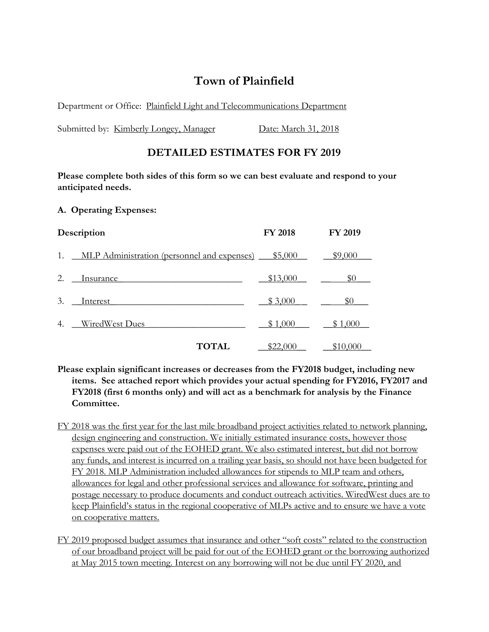# **Town of Plainfield**

Department or Office: Plainfield Light and Telecommunications Department

Submitted by: Kimberly Longey, Manager Date: March 31, 2018

## **DETAILED ESTIMATES FOR FY 2019**

**Please complete both sides of this form so we can best evaluate and respond to your anticipated needs.**

#### **A. Operating Expenses:**

| Description |                                                | <b>FY 2018</b> | <b>FY 2019</b> |
|-------------|------------------------------------------------|----------------|----------------|
|             | 1. MLP Administration (personnel and expenses) | \$5,000        | \$9,000        |
| 2.          | Insurance                                      | \$13,000       | \$0            |
| 3.          | Interest                                       | \$3,000        | \$0            |
| 4.          | WiredWest Dues                                 | \$1,000        | \$1,000        |
|             | <b>TOTAL</b>                                   | \$22,000       | \$10,000       |

- **Please explain significant increases or decreases from the FY2018 budget, including new items. See attached report which provides your actual spending for FY2016, FY2017 and FY2018 (first 6 months only) and will act as a benchmark for analysis by the Finance Committee.**
- FY 2018 was the first year for the last mile broadband project activities related to network planning, design engineering and construction. We initially estimated insurance costs, however those expenses were paid out of the EOHED grant. We also estimated interest, but did not borrow any funds, and interest is incurred on a trailing year basis, so should not have been budgeted for FY 2018. MLP Administration included allowances for stipends to MLP team and others, allowances for legal and other professional services and allowance for software, printing and postage necessary to produce documents and conduct outreach activities. WiredWest dues are to keep Plainfield's status in the regional cooperative of MLPs active and to ensure we have a vote on cooperative matters.
- FY 2019 proposed budget assumes that insurance and other "soft costs" related to the construction of our broadband project will be paid for out of the EOHED grant or the borrowing authorized at May 2015 town meeting. Interest on any borrowing will not be due until FY 2020, and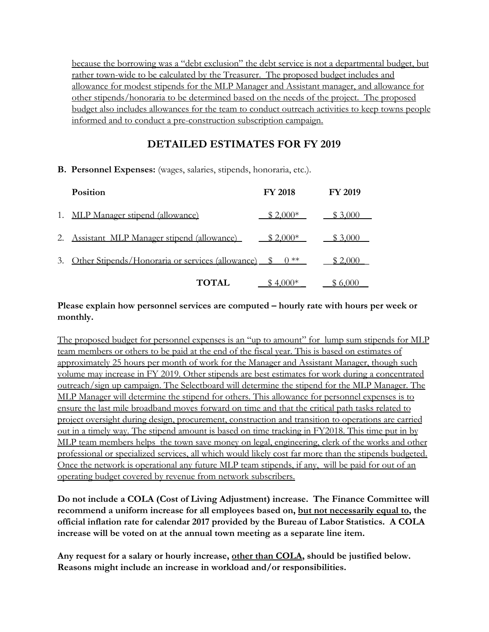because the borrowing was a "debt exclusion" the debt service is not a departmental budget, but rather town-wide to be calculated by the Treasurer. The proposed budget includes and allowance for modest stipends for the MLP Manager and Assistant manager, and allowance for other stipends/honoraria to be determined based on the needs of the project. The proposed budget also includes allowances for the team to conduct outreach activities to keep towns people informed and to conduct a pre-construction subscription campaign.

## **DETAILED ESTIMATES FOR FY 2019**

#### **B. Personnel Expenses:** (wages, salaries, stipends, honoraria, etc.).

| Position                                                               | <b>FY 2018</b> | <b>FY 2019</b> |
|------------------------------------------------------------------------|----------------|----------------|
| 1. MLP Manager stipend (allowance)                                     | $$2,000*$      | \$3,000        |
| 2. Assistant MLP Manager stipend (allowance)                           | $$2,000*$      | \$3,000        |
| 3. Other Stipends/Honoraria or services (allowance) \$ 0 <sup>**</sup> |                | \$2,000        |
| <b>TOTAL</b>                                                           | $$4.000*$      | \$6,000        |

### **Please explain how personnel services are computed – hourly rate with hours per week or monthly.**

The proposed budget for personnel expenses is an "up to amount" for lump sum stipends for MLP team members or others to be paid at the end of the fiscal year. This is based on estimates of approximately 25 hours per month of work for the Manager and Assistant Manager, though such volume may increase in FY 2019. Other stipends are best estimates for work during a concentrated outreach/sign up campaign. The Selectboard will determine the stipend for the MLP Manager. The MLP Manager will determine the stipend for others. This allowance for personnel expenses is to ensure the last mile broadband moves forward on time and that the critical path tasks related to project oversight during design, procurement, construction and transition to operations are carried out in a timely way. The stipend amount is based on time tracking in FY2018. This time put in by MLP team members helps the town save money on legal, engineering, clerk of the works and other professional or specialized services, all which would likely cost far more than the stipends budgeted. Once the network is operational any future MLP team stipends, if any, will be paid for out of an operating budget covered by revenue from network subscribers.

**Do not include a COLA (Cost of Living Adjustment) increase. The Finance Committee will recommend a uniform increase for all employees based on, but not necessarily equal to, the official inflation rate for calendar 2017 provided by the Bureau of Labor Statistics. A COLA increase will be voted on at the annual town meeting as a separate line item.**

**Any request for a salary or hourly increase, other than COLA, should be justified below. Reasons might include an increase in workload and/or responsibilities.**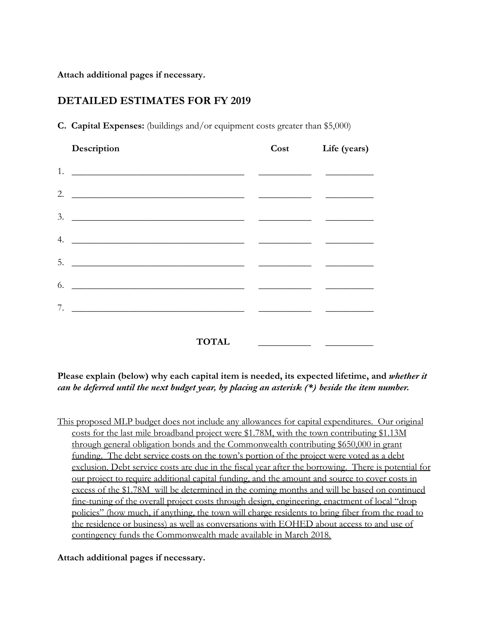**Attach additional pages if necessary.**

### **DETAILED ESTIMATES FOR FY 2019**

| Description                                              |              | Cost | Life (years) |
|----------------------------------------------------------|--------------|------|--------------|
| 1.                                                       |              |      |              |
| 2.                                                       |              |      |              |
| 3.                                                       |              |      |              |
| 4.<br><u> 1980 - John Stein, Amerikaansk politiker (</u> |              |      |              |
| 5.                                                       |              |      |              |
| 6.<br><u> 1989 - John Stein, Amerikaansk politiker (</u> |              |      |              |
| 7.                                                       |              |      |              |
|                                                          |              |      |              |
|                                                          | <b>TOTAL</b> |      |              |

**C. Capital Expenses:** (buildings and/or equipment costs greater than \$5,000)

**Please explain (below) why each capital item is needed, its expected lifetime, and** *whether it can be deferred until the next budget year, by placing an asterisk (\*) beside the item number.*

This proposed MLP budget does not include any allowances for capital expenditures. Our original costs for the last mile broadband project were \$1.78M, with the town contributing \$1.13M through general obligation bonds and the Commonwealth contributing \$650,000 in grant funding. The debt service costs on the town's portion of the project were voted as a debt exclusion. Debt service costs are due in the fiscal year after the borrowing. There is potential for our project to require additional capital funding, and the amount and source to cover costs in excess of the \$1.78M will be determined in the coming months and will be based on continued fine-tuning of the overall project costs through design, engineering, enactment of local "drop policies" (how much, if anything, the town will charge residents to bring fiber from the road to the residence or business) as well as conversations with EOHED about access to and use of contingency funds the Commonwealth made available in March 2018.

#### **Attach additional pages if necessary.**